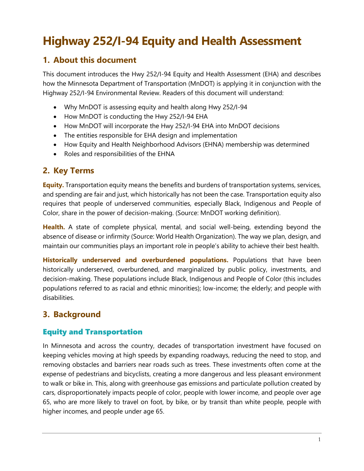## **Highway 252/I-94 Equity and Health Assessment**

## **1. About this document**

This document introduces the Hwy 252/I-94 Equity and Health Assessment (EHA) and describes how the Minnesota Department of Transportation (MnDOT) is applying it in conjunction with the Highway 252/I-94 Environmental Review. Readers of this document will understand:

- Why MnDOT is assessing equity and health along Hwy 252/I-94
- How MnDOT is conducting the Hwy 252/I-94 EHA
- How MnDOT will incorporate the Hwy 252/I-94 EHA into MnDOT decisions
- The entities responsible for EHA design and implementation
- How Equity and Health Neighborhood Advisors (EHNA) membership was determined
- Roles and responsibilities of the EHNA

## **2. Key Terms**

**Equity.** Transportation equity means the benefits and burdens of transportation systems, services, and spending are fair and just, which historically has not been the case. Transportation equity also requires that people of underserved communities, especially Black, Indigenous and People of Color, share in the power of decision-making. (Source: MnDOT working definition).

**Health.** A state of complete physical, mental, and social well-being, extending beyond the absence of disease or infirmity (Source: World Health Organization). The way we plan, design, and maintain our communities plays an important role in people's ability to achieve their best health.

**Historically underserved and overburdened populations.** Populations that have been historically underserved, overburdened, and marginalized by public policy, investments, and decision-making. These populations include Black, Indigenous and People of Color (this includes populations referred to as racial and ethnic minorities); low-income; the elderly; and people with disabilities.

## **3. Background**

## Equity and Transportation

In Minnesota and across the country, decades of transportation investment have focused on keeping vehicles moving at high speeds by expanding roadways, reducing the need to stop, and removing obstacles and barriers near roads such as trees. These investments often come at the expense of pedestrians and bicyclists, creating a more dangerous and less pleasant environment to walk or bike in. This, along with greenhouse gas emissions and particulate pollution created by cars, disproportionately impacts people of color, people with lower income, and people over age 65, who are more likely to travel on foot, by bike, or by transit than white people, people with higher incomes, and people under age 65.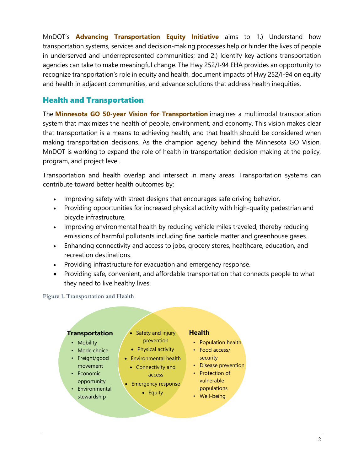MnDOT's **Advancing Transportation Equity Initiative** aims to 1.) Understand how transportation systems, services and decision-making processes help or hinder the lives of people in underserved and underrepresented communities; and 2.) Identify key actions transportation agencies can take to make meaningful change. The Hwy 252/I-94 EHA provides an opportunity to recognize transportation's role in equity and health, document impacts of Hwy 252/I-94 on equity and health in adjacent communities, and advance solutions that address health inequities.

## Health and Transportation

The **Minnesota GO 50-year Vision for Transportation** imagines a multimodal transportation system that maximizes the health of people, environment, and economy. This vision makes clear that transportation is a means to achieving health, and that health should be considered when making transportation decisions. As the champion agency behind the Minnesota GO Vision, MnDOT is working to expand the role of health in transportation decision-making at the policy, program, and project level.

Transportation and health overlap and intersect in many areas. Transportation systems can contribute toward better health outcomes by:

- Improving safety with street designs that encourages safe driving behavior.
- Providing opportunities for increased physical activity with high-quality pedestrian and bicycle infrastructure.
- Improving environmental health by reducing vehicle miles traveled, thereby reducing emissions of harmful pollutants including fine particle matter and greenhouse gases.
- Enhancing connectivity and access to jobs, grocery stores, healthcare, education, and recreation destinations.
- Providing infrastructure for evacuation and emergency response.
- Providing safe, convenient, and affordable transportation that connects people to what they need to live healthy lives.

**Figure 1. Transportation and Health**

#### **Transportation**

- Mobility
- Mode choice
- Freight/good movement
- Economic opportunity
- **Environmental** stewardship
- Safety and injury prevention
- Physical activity
- Environmental health
	- Connectivity and access
- Emergency response • Equity
	-

#### **Health**

- Population health
- Food access/ security
- Disease prevention
- Protection of vulnerable populations
- Well-being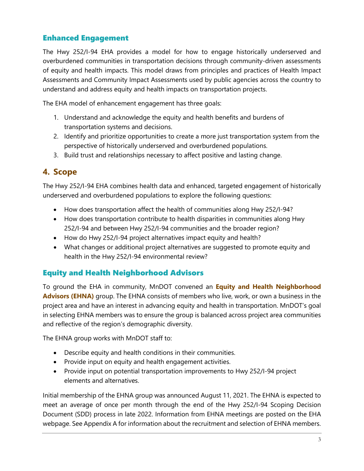## Enhanced Engagement

The Hwy 252/I-94 EHA provides a model for how to engage historically underserved and overburdened communities in transportation decisions through community-driven assessments of equity and health impacts. This model draws from principles and practices of Health Impact Assessments and Community Impact Assessments used by public agencies across the country to understand and address equity and health impacts on transportation projects.

The EHA model of enhancement engagement has three goals:

- 1. Understand and acknowledge the equity and health benefits and burdens of transportation systems and decisions.
- 2. Identify and prioritize opportunities to create a more just transportation system from the perspective of historically underserved and overburdened populations.
- 3. Build trust and relationships necessary to affect positive and lasting change.

## **4. Scope**

The Hwy 252/I-94 EHA combines health data and enhanced, targeted engagement of historically underserved and overburdened populations to explore the following questions:

- How does transportation affect the health of communities along Hwy 252/I-94?
- How does transportation contribute to health disparities in communities along Hwy 252/I-94 and between Hwy 252/I-94 communities and the broader region?
- How do Hwy 252/I-94 project alternatives impact equity and health?
- What changes or additional project alternatives are suggested to promote equity and health in the Hwy 252/I-94 environmental review?

## Equity and Health Neighborhood Advisors

To ground the EHA in community, MnDOT convened an **Equity and Health Neighborhood Advisors (EHNA)** group. The EHNA consists of members who live, work, or own a business in the project area and have an interest in advancing equity and health in transportation. MnDOT's goal in selecting EHNA members was to ensure the group is balanced across project area communities and reflective of the region's demographic diversity.

The EHNA group works with MnDOT staff to:

- Describe equity and health conditions in their communities.
- Provide input on equity and health engagement activities.
- Provide input on potential transportation improvements to Hwy 252/I-94 project elements and alternatives.

Initial membership of the EHNA group was announced August 11, 2021. The EHNA is expected to meet an average of once per month through the end of the Hwy 252/I-94 Scoping Decision Document (SDD) process in late 2022. Information from EHNA meetings are posted on the EHA webpage. See Appendix A for information about the recruitment and selection of EHNA members.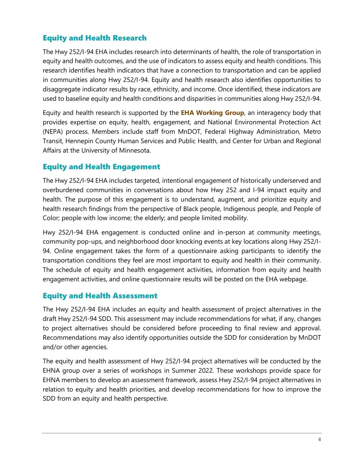## Equity and Health Research

The Hwy 252/I-94 EHA includes research into determinants of health, the role of transportation in equity and health outcomes, and the use of indicators to assess equity and health conditions. This research identifies health indicators that have a connection to transportation and can be applied in communities along Hwy 252/I-94. Equity and health research also identifies opportunities to disaggregate indicator results by race, ethnicity, and income. Once identified, these indicators are used to baseline equity and health conditions and disparities in communities along Hwy 252/I-94.

Equity and health research is supported by the **EHA Working Group**, an interagency body that provides expertise on equity, health, engagement, and National Environmental Protection Act (NEPA) process. Members include staff from MnDOT, Federal Highway Administration, Metro Transit, Hennepin County Human Services and Public Health, and Center for Urban and Regional Affairs at the University of Minnesota.

## Equity and Health Engagement

The Hwy 252/I-94 EHA includes targeted, intentional engagement of historically underserved and overburdened communities in conversations about how Hwy 252 and I-94 impact equity and health. The purpose of this engagement is to understand, augment, and prioritize equity and health research findings from the perspective of Black people, Indigenous people, and People of Color; people with low income; the elderly; and people limited mobility.

Hwy 252/I-94 EHA engagement is conducted online and in-person at community meetings, community pop-ups, and neighborhood door knocking events at key locations along Hwy 252/I-94. Online engagement takes the form of a questionnaire asking participants to identify the transportation conditions they feel are most important to equity and health in their community. The schedule of equity and health engagement activities, information from equity and health engagement activities, and online questionnaire results will be posted on the EHA webpage.

## Equity and Health Assessment

The Hwy 252/I-94 EHA includes an equity and health assessment of project alternatives in the draft Hwy 252/I-94 SDD. This assessment may include recommendations for what, if any, changes to project alternatives should be considered before proceeding to final review and approval. Recommendations may also identify opportunities outside the SDD for consideration by MnDOT and/or other agencies.

The equity and health assessment of Hwy 252/I-94 project alternatives will be conducted by the EHNA group over a series of workshops in Summer 2022. These workshops provide space for EHNA members to develop an assessment framework, assess Hwy 252/I-94 project alternatives in relation to equity and health priorities, and develop recommendations for how to improve the SDD from an equity and health perspective.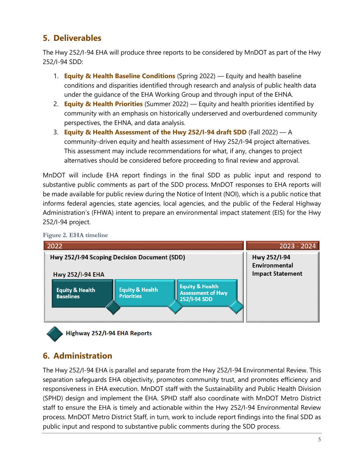## **5. Deliverables**

The Hwy 252/I-94 EHA will produce three reports to be considered by MnDOT as part of the Hwy 252/I-94 SDD:

- 1. **Equity & Health Baseline Conditions** (Spring 2022) Equity and health baseline conditions and disparities identified through research and analysis of public health data under the guidance of the EHA Working Group and through input of the EHNA.
- 2. **Equity & Health Priorities** (Summer 2022) Equity and health priorities identified by community with an emphasis on historically underserved and overburdened community perspectives, the EHNA, and data analysis.
- 3. **Equity & Health Assessment of the Hwy 252/I-94 draft SDD** (Fall 2022) A community-driven equity and health assessment of Hwy 252/I-94 project alternatives. This assessment may include recommendations for what, if any, changes to project alternatives should be considered before proceeding to final review and approval.

MnDOT will include EHA report findings in the final SDD as public input and respond to substantive public comments as part of the SDD process. MnDOT responses to EHA reports will be made available for public review during the Notice of Intent (NOI), which is a public notice that informs federal agencies, state agencies, local agencies, and the public of the Federal Highway Administration's (FHWA) intent to prepare an environmental impact statement (EIS) for the Hwy 252/I-94 project.





Highway 252/I-94 EHA Reports

## **6. Administration**

The Hwy 252/I-94 EHA is parallel and separate from the Hwy 252/I-94 Environmental Review. This separation safeguards EHA objectivity, promotes community trust, and promotes efficiency and responsiveness in EHA execution. MnDOT staff with the Sustainability and Public Health Division (SPHD) design and implement the EHA. SPHD staff also coordinate with MnDOT Metro District staff to ensure the EHA is timely and actionable within the Hwy 252/I-94 Environmental Review process. MnDOT Metro District Staff, in turn, work to include report findings into the final SDD as public input and respond to substantive public comments during the SDD process.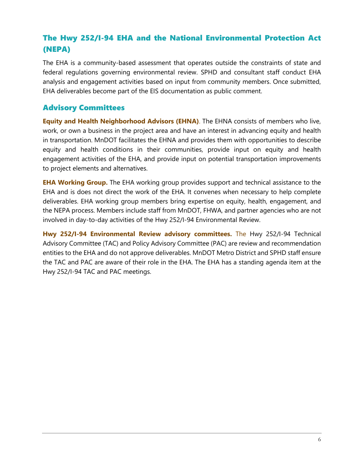## The Hwy 252/I-94 EHA and the National Environmental Protection Act (NEPA)

The EHA is a community-based assessment that operates outside the constraints of state and federal regulations governing environmental review. SPHD and consultant staff conduct EHA analysis and engagement activities based on input from community members. Once submitted, EHA deliverables become part of the EIS documentation as public comment.

## Advisory Committees

**Equity and Health Neighborhood Advisors (EHNA)**. The EHNA consists of members who live, work, or own a business in the project area and have an interest in advancing equity and health in transportation. MnDOT facilitates the EHNA and provides them with opportunities to describe equity and health conditions in their communities, provide input on equity and health engagement activities of the EHA, and provide input on potential transportation improvements to project elements and alternatives.

**EHA Working Group.** The EHA working group provides support and technical assistance to the EHA and is does not direct the work of the EHA. It convenes when necessary to help complete deliverables. EHA working group members bring expertise on equity, health, engagement, and the NEPA process. Members include staff from MnDOT, FHWA, and partner agencies who are not involved in day-to-day activities of the Hwy 252/I-94 Environmental Review.

**Hwy 252/I-94 Environmental Review advisory committees.** The Hwy 252/I-94 Technical Advisory Committee (TAC) and Policy Advisory Committee (PAC) are review and recommendation entities to the EHA and do not approve deliverables. MnDOT Metro District and SPHD staff ensure the TAC and PAC are aware of their role in the EHA. The EHA has a standing agenda item at the Hwy 252/I-94 TAC and PAC meetings.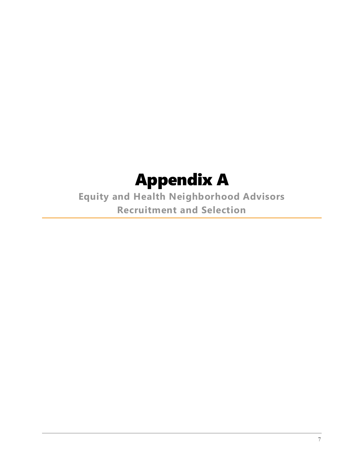## Appendix A

**Equity and Health Neighborhood Advisors Recruitment and Selection**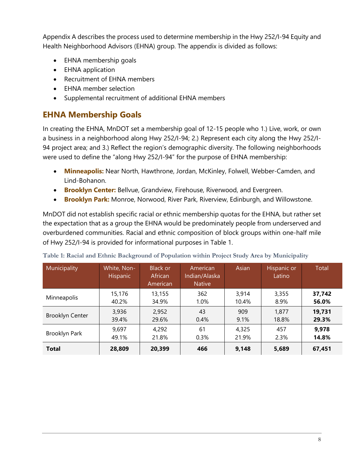Appendix A describes the process used to determine membership in the Hwy 252/I-94 Equity and Health Neighborhood Advisors (EHNA) group. The appendix is divided as follows:

- EHNA membership goals
- EHNA application
- Recruitment of EHNA members
- EHNA member selection
- Supplemental recruitment of additional EHNA members

## **EHNA Membership Goals**

In creating the EHNA, MnDOT set a membership goal of 12-15 people who 1.) Live, work, or own a business in a neighborhood along Hwy 252/I-94; 2.) Represent each city along the Hwy 252/I-94 project area; and 3.) Reflect the region's demographic diversity. The following neighborhoods were used to define the "along Hwy 252/I-94" for the purpose of EHNA membership:

- **Minneapolis:** Near North, Hawthrone, Jordan, McKinley, Folwell, Webber-Camden, and Lind-Bohanon.
- **Brooklyn Center:** Bellvue, Grandview, Firehouse, Riverwood, and Evergreen.
- **Brooklyn Park:** Monroe, Norwood, River Park, Riverview, Edinburgh, and Willowstone.

MnDOT did not establish specific racial or ethnic membership quotas for the EHNA, but rather set the expectation that as a group the EHNA would be predominately people from underserved and overburdened communities. Racial and ethnic composition of block groups within one-half mile of Hwy 252/I-94 is provided for informational purposes in Table 1.

| Municipality           | White, Non-<br><b>Hispanic</b> | <b>Black or</b><br><b>African</b><br>American | American<br>Indian/Alaska<br><b>Native</b> | Asian | Hispanic or<br>Latino | Total  |
|------------------------|--------------------------------|-----------------------------------------------|--------------------------------------------|-------|-----------------------|--------|
| Minneapolis            | 15,176                         | 13,155                                        | 362                                        | 3,914 | 3,355                 | 37,742 |
|                        | 40.2%                          | 34.9%                                         | 1.0%                                       | 10.4% | 8.9%                  | 56.0%  |
| <b>Brooklyn Center</b> | 3,936                          | 2,952                                         | 43                                         | 909   | 1,877                 | 19,731 |
|                        | 39.4%                          | 29.6%                                         | 0.4%                                       | 9.1%  | 18.8%                 | 29.3%  |
| Brooklyn Park          | 9,697                          | 4,292                                         | 61                                         | 4,325 | 457                   | 9,978  |
|                        | 49.1%                          | 21.8%                                         | 0.3%                                       | 21.9% | 2.3%                  | 14.8%  |
| <b>Total</b>           | 28,809                         | 20,399                                        | 466                                        | 9,148 | 5,689                 | 67,451 |

**Table 1: Racial and Ethnic Background of Population within Project Study Area by Municipality**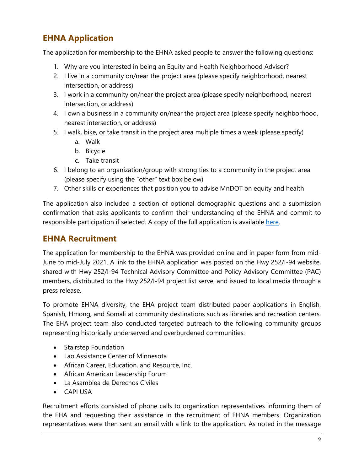## **EHNA Application**

The application for membership to the EHNA asked people to answer the following questions:

- 1. Why are you interested in being an Equity and Health Neighborhood Advisor?
- 2. I live in a community on/near the project area (please specify neighborhood, nearest intersection, or address)
- 3. I work in a community on/near the project area (please specify neighborhood, nearest intersection, or address)
- 4. I own a business in a community on/near the project area (please specify neighborhood, nearest intersection, or address)
- 5. I walk, bike, or take transit in the project area multiple times a week (please specify)
	- a. Walk
	- b. Bicycle
	- c. Take transit
- 6. I belong to an organization/group with strong ties to a community in the project area (please specify using the "other" text box below)
- 7. Other skills or experiences that position you to advise MnDOT on equity and health

The application also included a section of optional demographic questions and a submission confirmation that asks applicants to confirm their understanding of the EHNA and commit to responsible participation if selected. A copy of the full application is available [here.](https://docs.google.com/forms/d/e/1FAIpQLSdPeycarvkuIoS9BloS0L5mZT2p7SkWetQpAvHYSEaLcZu1qg/viewform?usp=sf_link)

## **EHNA Recruitment**

The application for membership to the EHNA was provided online and in paper form from mid-June to mid-July 2021. A link to the EHNA application was posted on the Hwy 252/I-94 website, shared with Hwy 252/I-94 Technical Advisory Committee and Policy Advisory Committee (PAC) members, distributed to the Hwy 252/I-94 project list serve, and issued to local media through a press release.

To promote EHNA diversity, the EHA project team distributed paper applications in English, Spanish, Hmong, and Somali at community destinations such as libraries and recreation centers. The EHA project team also conducted targeted outreach to the following community groups representing historically underserved and overburdened communities:

- Stairstep Foundation
- Lao Assistance Center of Minnesota
- African Career, Education, and Resource, Inc.
- African American Leadership Forum
- La Asamblea de Derechos Civiles
- CAPI USA

Recruitment efforts consisted of phone calls to organization representatives informing them of the EHA and requesting their assistance in the recruitment of EHNA members. Organization representatives were then sent an email with a link to the application. As noted in the message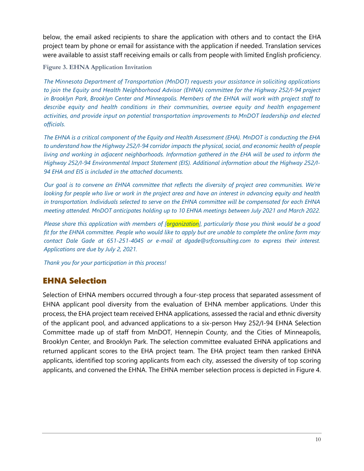below, the email asked recipients to share the application with others and to contact the EHA project team by phone or email for assistance with the application if needed. Translation services were available to assist staff receiving emails or calls from people with limited English proficiency.

**Figure 3. EHNA Application Invitation**

*The Minnesota Department of Transportation (MnDOT) requests your assistance in soliciting applications to join the Equity and Health Neighborhood Advisor (EHNA) committee for the Highway 252/I-94 project in Brooklyn Park, Brooklyn Center and Minneapolis. Members of the EHNA will work with project staff to describe equity and health conditions in their communities, oversee equity and health engagement activities, and provide input on potential transportation improvements to MnDOT leadership and elected officials.* 

*The EHNA is a critical component of the Equity and Health Assessment (EHA). MnDOT is conducting the EHA to understand how the Highway 252/I-94 corridor impacts the physical, social, and economic health of people living and working in adjacent neighborhoods. Information gathered in the EHA will be used to inform the Highway 252/I-94 Environmental Impact Statement (EIS). Additional information about the Highway 252/I-94 EHA and EIS is included in the attached documents.* 

*Our goal is to convene an EHNA committee that reflects the diversity of project area communities. We're looking for people who live or work in the project area and have an interest in advancing equity and health in transportation. Individuals selected to serve on the EHNA committee will be compensated for each EHNA meeting attended. MnDOT anticipates holding up to 10 EHNA meetings between July 2021 and March 2022.* 

*Please share this application with members of [organization], particularly those you think would be a good fit for the EHNA committee. People who would like to apply but are unable to complete the online form may contact Dale Gade at 651-251-4045 or e-mail at dgade@srfconsulting.com to express their interest. Applications are due by July 2, 2021.* 

*Thank you for your participation in this process!* 

## EHNA Selection

Selection of EHNA members occurred through a four-step process that separated assessment of EHNA applicant pool diversity from the evaluation of EHNA member applications. Under this process, the EHA project team received EHNA applications, assessed the racial and ethnic diversity of the applicant pool, and advanced applications to a six-person Hwy 252/I-94 EHNA Selection Committee made up of staff from MnDOT, Hennepin County, and the Cities of Minneapolis, Brooklyn Center, and Brooklyn Park. The selection committee evaluated EHNA applications and returned applicant scores to the EHA project team. The EHA project team then ranked EHNA applicants, identified top scoring applicants from each city, assessed the diversity of top scoring applicants, and convened the EHNA. The EHNA member selection process is depicted in Figure 4.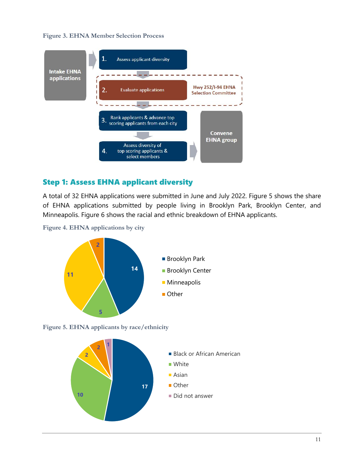#### **Figure 3. EHNA Member Selection Process**



#### Step 1: Assess EHNA applicant diversity

A total of 32 EHNA applications were submitted in June and July 2022. Figure 5 shows the share of EHNA applications submitted by people living in Brooklyn Park, Brooklyn Center, and Minneapolis. Figure 6 shows the racial and ethnic breakdown of EHNA applicants.

**Figure 4. EHNA applications by city**



**Figure 5. EHNA applicants by race/ethnicity**

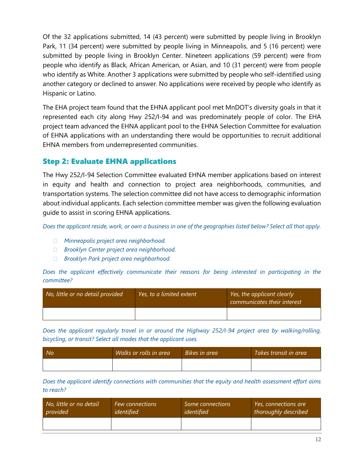Of the 32 applications submitted, 14 (43 percent) were submitted by people living in Brooklyn Park, 11 (34 percent) were submitted by people living in Minneapolis, and 5 (16 percent) were submitted by people living in Brooklyn Center. Nineteen applications (59 percent) were from people who identify as Black, African American, or Asian, and 10 (31 percent) were from people who identify as White. Another 3 applications were submitted by people who self-identified using another category or declined to answer. No applications were received by people who identify as Hispanic or Latino.

The EHA project team found that the EHNA applicant pool met MnDOT's diversity goals in that it represented each city along Hwy 252/I-94 and was predominately people of color. The EHA project team advanced the EHNA applicant pool to the EHNA Selection Committee for evaluation of EHNA applications with an understanding there would be opportunities to recruit additional EHNA members from underrepresented communities.

#### Step 2: Evaluate EHNA applications

The Hwy 252/I-94 Selection Committee evaluated EHNA member applications based on interest in equity and health and connection to project area neighborhoods, communities, and transportation systems. The selection committee did not have access to demographic information about individual applicants. Each selection committee member was given the following evaluation guide to assist in scoring EHNA applications.

*Does the applicant reside, work, or own a business in one of the geographies listed below? Select all that apply.* 

- *Minneapolis project area neighborhood.*
- *Brooklyn Center project area neighborhood.*
- *Brooklyn Park project area neighborhood.*

*Does the applicant effectively communicate their reasons for being interested in participating in the committee?* 

| No, little or no detail provided | Yes, to a limited extent | Yes, the applicant clearly<br>communicates their interest |  |
|----------------------------------|--------------------------|-----------------------------------------------------------|--|
|                                  |                          |                                                           |  |

*Does the applicant regularly travel in or around the Highway 252/I-94 project area by walking/rolling, bicycling, or transit? Select all modes that the applicant uses.*

| No <sup>.</sup> | Walks or rolls in area | Bikes in area | Takes transit in area |
|-----------------|------------------------|---------------|-----------------------|
|                 |                        |               |                       |

*Does the applicant identify connections with communities that the equity and health assessment effort aims to reach?* 

| ' No, little or no detail , | <b>Few connections</b> | Some connections | Yes, connections are |
|-----------------------------|------------------------|------------------|----------------------|
| provided                    | identified             | identified       | thoroughly described |
|                             |                        |                  |                      |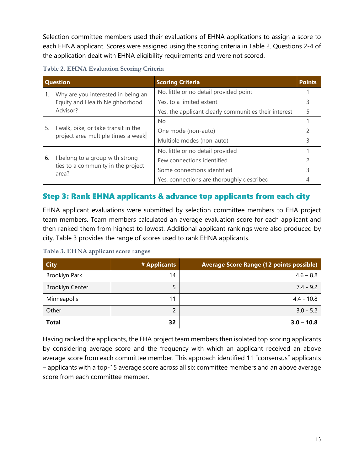Selection committee members used their evaluations of EHNA applications to assign a score to each EHNA applicant. Scores were assigned using the scoring criteria in Table 2. Questions 2-4 of the application dealt with EHNA eligibility requirements and were not scored.

| <b>Question</b>                    |                                                                                | <b>Scoring Criteria</b>                               | <b>Points</b> |
|------------------------------------|--------------------------------------------------------------------------------|-------------------------------------------------------|---------------|
| Why are you interested in being an |                                                                                | No, little or no detail provided point                |               |
|                                    | Equity and Health Neighborhood<br>Advisor?                                     | Yes, to a limited extent                              |               |
|                                    |                                                                                | Yes, the applicant clearly communities their interest | 5             |
|                                    |                                                                                | No.                                                   |               |
| 5.                                 | I walk, bike, or take transit in the<br>project area multiple times a week.    | One mode (non-auto)                                   |               |
|                                    |                                                                                | Multiple modes (non-auto)                             |               |
|                                    |                                                                                | No, little or no detail provided                      |               |
| 6.                                 | I belong to a group with strong<br>ties to a community in the project<br>area? | Few connections identified                            |               |
|                                    |                                                                                | Some connections identified                           |               |
|                                    |                                                                                | Yes, connections are thoroughly described             |               |

## Step 3: Rank EHNA applicants & advance top applicants from each city

EHNA applicant evaluations were submitted by selection committee members to EHA project team members. Team members calculated an average evaluation score for each applicant and then ranked them from highest to lowest. Additional applicant rankings were also produced by city. Table 3 provides the range of scores used to rank EHNA applicants.

| <b>City</b>            | # Applicants | <b>Average Score Range (12 points possible)</b> |
|------------------------|--------------|-------------------------------------------------|
| Brooklyn Park          | 14           | $4.6 - 8.8$                                     |
| <b>Brooklyn Center</b> |              | $7.4 - 9.2$                                     |
| Minneapolis            | 11           | $4.4 - 10.8$                                    |
| Other                  |              | $3.0 - 5.2$                                     |
| <b>Total</b>           | 32           | $3.0 - 10.8$                                    |

**Table 3. EHNA applicant score ranges**

Having ranked the applicants, the EHA project team members then isolated top scoring applicants by considering average score and the frequency with which an applicant received an above average score from each committee member. This approach identified 11 "consensus" applicants – applicants with a top-15 average score across all six committee members and an above average score from each committee member.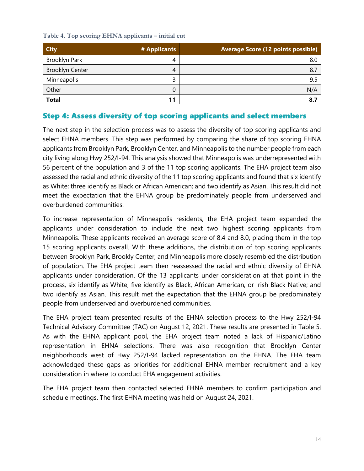**Table 4. Top scoring EHNA applicants – initial cut**

| <b>City</b>            | # Applicants | <b>Average Score (12 points possible)</b> |
|------------------------|--------------|-------------------------------------------|
| Brooklyn Park          | 4            | 8.0                                       |
| <b>Brooklyn Center</b> | 4            | 8.7                                       |
| Minneapolis            |              | 9.5                                       |
| Other                  |              | N/A                                       |
| <b>Total</b>           |              | 8.7                                       |

## Step 4: Assess diversity of top scoring applicants and select members

The next step in the selection process was to assess the diversity of top scoring applicants and select EHNA members. This step was performed by comparing the share of top scoring EHNA applicants from Brooklyn Park, Brooklyn Center, and Minneapolis to the number people from each city living along Hwy 252/I-94. This analysis showed that Minneapolis was underrepresented with 56 percent of the population and 3 of the 11 top scoring applicants. The EHA project team also assessed the racial and ethnic diversity of the 11 top scoring applicants and found that six identify as White; three identify as Black or African American; and two identify as Asian. This result did not meet the expectation that the EHNA group be predominately people from underserved and overburdened communities.

To increase representation of Minneapolis residents, the EHA project team expanded the applicants under consideration to include the next two highest scoring applicants from Minneapolis. These applicants received an average score of 8.4 and 8.0, placing them in the top 15 scoring applicants overall. With these additions, the distribution of top scoring applicants between Brooklyn Park, Brookly Center, and Minneapolis more closely resembled the distribution of population. The EHA project team then reassessed the racial and ethnic diversity of EHNA applicants under consideration. Of the 13 applicants under consideration at that point in the process, six identify as White; five identify as Black, African American, or Irish Black Native; and two identify as Asian. This result met the expectation that the EHNA group be predominately people from underserved and overburdened communities.

The EHA project team presented results of the EHNA selection process to the Hwy 252/I-94 Technical Advisory Committee (TAC) on August 12, 2021. These results are presented in Table 5. As with the EHNA applicant pool, the EHA project team noted a lack of Hispanic/Latino representation in EHNA selections. There was also recognition that Brooklyn Center neighborhoods west of Hwy 252/I-94 lacked representation on the EHNA. The EHA team acknowledged these gaps as priorities for additional EHNA member recruitment and a key consideration in where to conduct EHA engagement activities.

The EHA project team then contacted selected EHNA members to confirm participation and schedule meetings. The first EHNA meeting was held on August 24, 2021.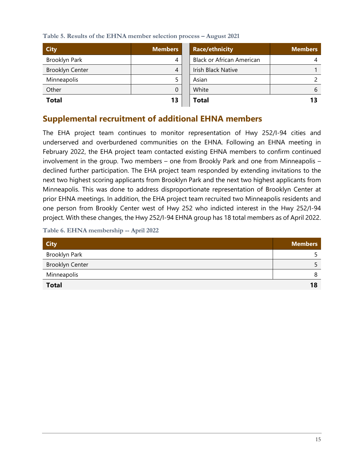**Table 5. Results of the EHNA member selection process – August 2021**

| <b>City</b>            | <b>Members</b> | <b>Race/ethnicity</b>            | <b>Members</b> |
|------------------------|----------------|----------------------------------|----------------|
| Brooklyn Park          | 4              | <b>Black or African American</b> |                |
| <b>Brooklyn Center</b> | 4              | Irish Black Native               |                |
| Minneapolis            |                | Asian                            |                |
| Other                  | 0              | White                            | 6              |
| <b>Total</b>           | 13             | <b>Total</b>                     | 13             |

## **Supplemental recruitment of additional EHNA members**

The EHA project team continues to monitor representation of Hwy 252/I-94 cities and underserved and overburdened communities on the EHNA. Following an EHNA meeting in February 2022, the EHA project team contacted existing EHNA members to confirm continued involvement in the group. Two members – one from Brookly Park and one from Minneapolis – declined further participation. The EHA project team responded by extending invitations to the next two highest scoring applicants from Brooklyn Park and the next two highest applicants from Minneapolis. This was done to address disproportionate representation of Brooklyn Center at prior EHNA meetings. In addition, the EHA project team recruited two Minneapolis residents and one person from Brookly Center west of Hwy 252 who indicted interest in the Hwy 252/I-94 project. With these changes, the Hwy 252/I-94 EHNA group has 18 total members as of April 2022.

**Table 6. EHNA membership -- April 2022**

| <b>City</b>            | <b>Members</b> |
|------------------------|----------------|
| Brooklyn Park          |                |
| <b>Brooklyn Center</b> |                |
| Minneapolis            |                |
| <b>Total</b>           | 18             |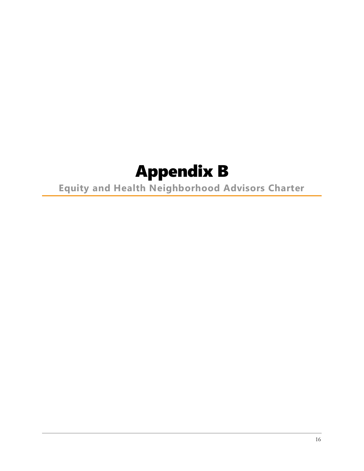# Appendix B

**Equity and Health Neighborhood Advisors Charter**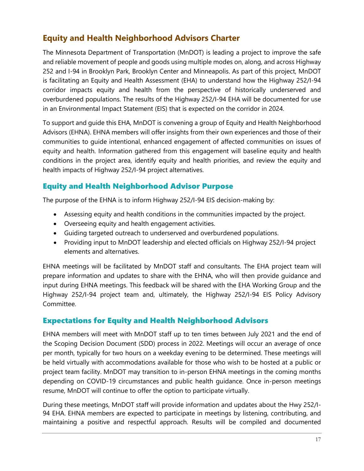## **Equity and Health Neighborhood Advisors Charter**

The Minnesota Department of Transportation (MnDOT) is leading a project to improve the safe and reliable movement of people and goods using multiple modes on, along, and across Highway 252 and I-94 in Brooklyn Park, Brooklyn Center and Minneapolis. As part of this project, MnDOT is facilitating an Equity and Health Assessment (EHA) to understand how the Highway 252/I-94 corridor impacts equity and health from the perspective of historically underserved and overburdened populations. The results of the Highway 252/I-94 EHA will be documented for use in an Environmental Impact Statement (EIS) that is expected on the corridor in 2024.

To support and guide this EHA, MnDOT is convening a group of Equity and Health Neighborhood Advisors (EHNA). EHNA members will offer insights from their own experiences and those of their communities to guide intentional, enhanced engagement of affected communities on issues of equity and health. Information gathered from this engagement will baseline equity and health conditions in the project area, identify equity and health priorities, and review the equity and health impacts of Highway 252/I-94 project alternatives.

## Equity and Health Neighborhood Advisor Purpose

The purpose of the EHNA is to inform Highway 252/I-94 EIS decision-making by:

- Assessing equity and health conditions in the communities impacted by the project.
- Overseeing equity and health engagement activities.
- Guiding targeted outreach to underserved and overburdened populations.
- Providing input to MnDOT leadership and elected officials on Highway 252/I-94 project elements and alternatives.

EHNA meetings will be facilitated by MnDOT staff and consultants. The EHA project team will prepare information and updates to share with the EHNA, who will then provide guidance and input during EHNA meetings. This feedback will be shared with the EHA Working Group and the Highway 252/I-94 project team and, ultimately, the Highway 252/I-94 EIS Policy Advisory Committee.

## Expectations for Equity and Health Neighborhood Advisors

EHNA members will meet with MnDOT staff up to ten times between July 2021 and the end of the Scoping Decision Document (SDD) process in 2022. Meetings will occur an average of once per month, typically for two hours on a weekday evening to be determined. These meetings will be held virtually with accommodations available for those who wish to be hosted at a public or project team facility. MnDOT may transition to in-person EHNA meetings in the coming months depending on COVID-19 circumstances and public health guidance. Once in-person meetings resume, MnDOT will continue to offer the option to participate virtually.

During these meetings, MnDOT staff will provide information and updates about the Hwy 252/I-94 EHA. EHNA members are expected to participate in meetings by listening, contributing, and maintaining a positive and respectful approach. Results will be compiled and documented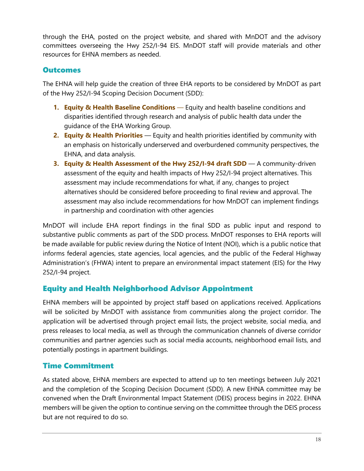through the EHA, posted on the project website, and shared with MnDOT and the advisory committees overseeing the Hwy 252/I-94 EIS. MnDOT staff will provide materials and other resources for EHNA members as needed.

#### **Outcomes**

The EHNA will help guide the creation of three EHA reports to be considered by MnDOT as part of the Hwy 252/I-94 Scoping Decision Document (SDD):

- **1. Equity & Health Baseline Conditions** Equity and health baseline conditions and disparities identified through research and analysis of public health data under the guidance of the EHA Working Group.
- **2. Equity & Health Priorities** Equity and health priorities identified by community with an emphasis on historically underserved and overburdened community perspectives, the EHNA, and data analysis.
- **3. Equity & Health Assessment of the Hwy 252/I-94 draft SDD** A community-driven assessment of the equity and health impacts of Hwy 252/I-94 project alternatives. This assessment may include recommendations for what, if any, changes to project alternatives should be considered before proceeding to final review and approval. The assessment may also include recommendations for how MnDOT can implement findings in partnership and coordination with other agencies

MnDOT will include EHA report findings in the final SDD as public input and respond to substantive public comments as part of the SDD process. MnDOT responses to EHA reports will be made available for public review during the Notice of Intent (NOI), which is a public notice that informs federal agencies, state agencies, local agencies, and the public of the Federal Highway Administration's (FHWA) intent to prepare an environmental impact statement (EIS) for the Hwy 252/I-94 project.

## Equity and Health Neighborhood Advisor Appointment

EHNA members will be appointed by project staff based on applications received. Applications will be solicited by MnDOT with assistance from communities along the project corridor. The application will be advertised through project email lists, the project website, social media, and press releases to local media, as well as through the communication channels of diverse corridor communities and partner agencies such as social media accounts, neighborhood email lists, and potentially postings in apartment buildings.

## Time Commitment

As stated above, EHNA members are expected to attend up to ten meetings between July 2021 and the completion of the Scoping Decision Document (SDD). A new EHNA committee may be convened when the Draft Environmental Impact Statement (DEIS) process begins in 2022. EHNA members will be given the option to continue serving on the committee through the DEIS process but are not required to do so.